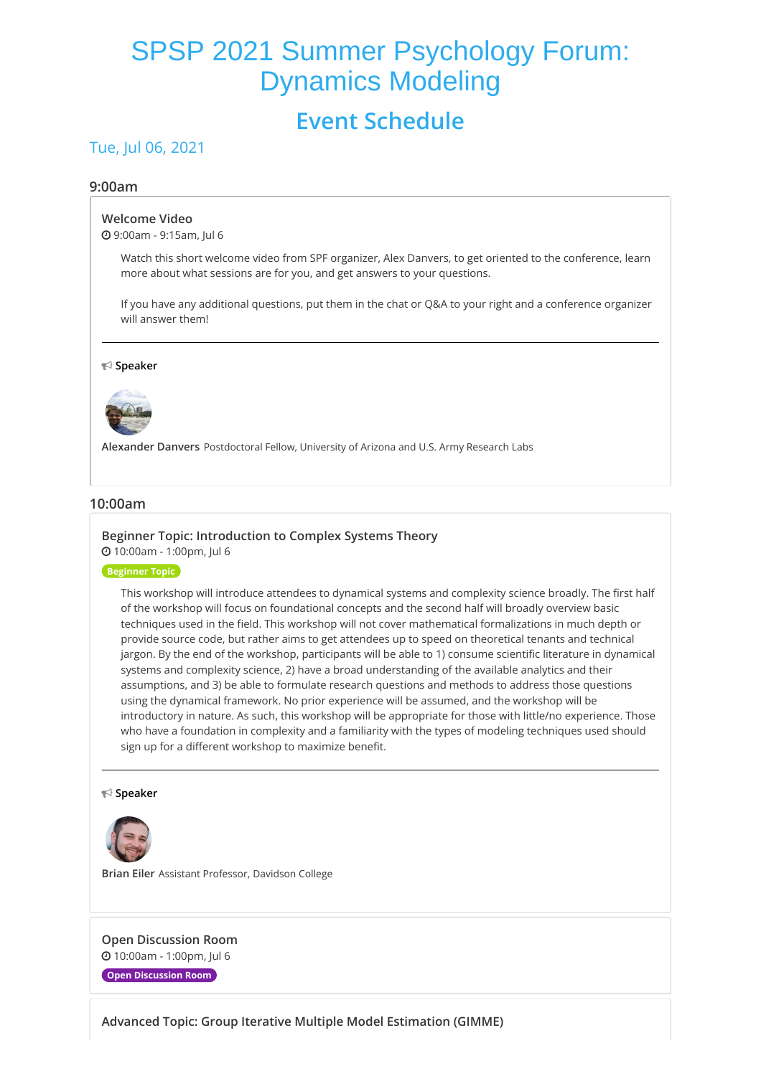# SPSP 2021 Summer Psychology Forum: Dynamics Modeling

## **Event Schedule**

## Tue, Jul 06, 2021

#### **9:00am**

#### **[Welcome](https://whova.com/embedded/session/sspfd_202107/1794056/) Video**

9:00am - 9:15am, Jul 6

Watch this short welcome video from SPF organizer, Alex Danvers, to get oriented to the conference, learn more about what sessions are for you, and get answers to your questions.

If you have any additional questions, put them in the chat or Q&A to your right and a conference organizer will answer them!

#### **Speaker**



**Alexander Danvers** Postdoctoral Fellow, University of Arizona and U.S. Army Research Labs

#### **10:00am**

#### **Beginner Topic: [Introduction](https://whova.com/embedded/session/sspfd_202107/1753719/) to Complex Systems Theory** 10:00am - 1:00pm, Jul 6

**Beginner Topic**

This workshop will introduce attendees to dynamical systems and complexity science broadly. The first half of the workshop will focus on foundational concepts and the second half will broadly overview basic techniques used in the field. This workshop will not cover mathematical formalizations in much depth or provide source code, but rather aims to get attendees up to speed on theoretical tenants and technical jargon. By the end of the workshop, participants will be able to 1) consume scientific literature in dynamical systems and complexity science, 2) have a broad understanding of the available analytics and their assumptions, and 3) be able to formulate research questions and methods to address those questions using the dynamical framework. No prior experience will be assumed, and the workshop will be introductory in nature. As such, this workshop will be appropriate for those with little/no experience. Those who have a foundation in complexity and a familiarity with the types of modeling techniques used should sign up for a different workshop to maximize benefit.

#### **Speaker**



**Brian Eiler** Assistant Professor, Davidson College

**Open [Discussion](https://whova.com/embedded/session/sspfd_202107/1753721/) Room** 10:00am - 1:00pm, Jul 6

**Open Discussion Room**

**Advanced Topic: Group Iterative Multiple Model [Estimation](https://whova.com/embedded/session/sspfd_202107/1753751/) (GIMME)**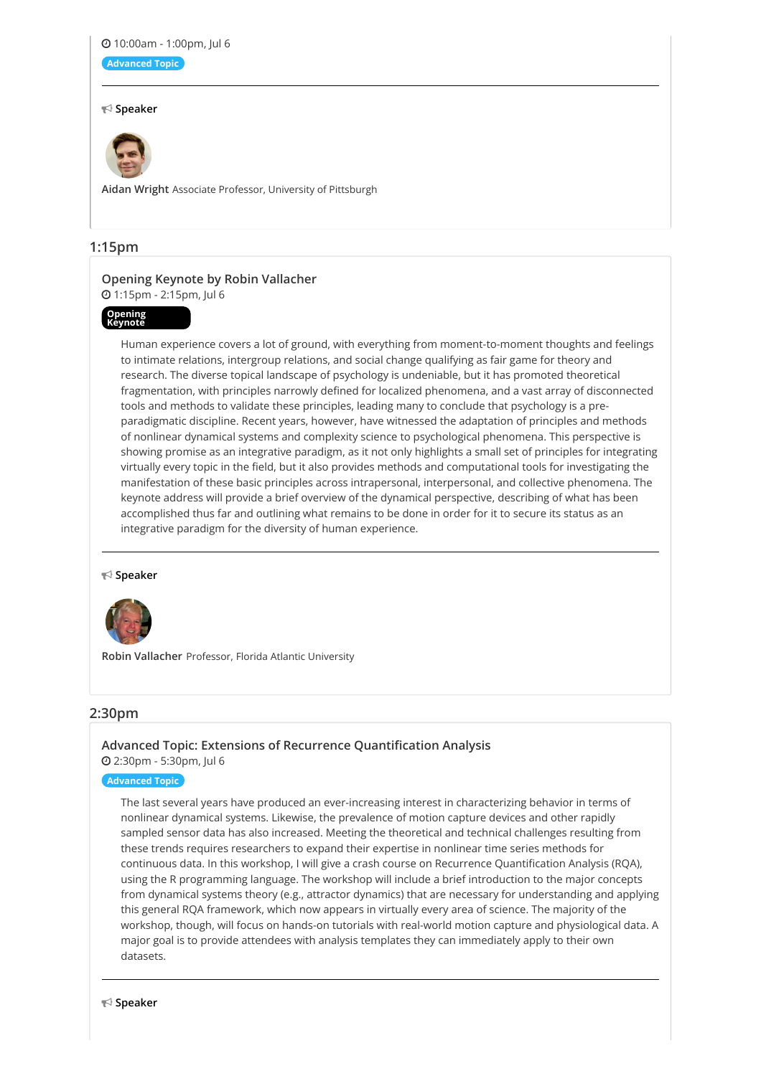#### 10:00am - 1:00pm, Jul 6

**Advanced Topic**

#### **Speaker**



**Aidan Wright** Associate Professor, University of Pittsburgh

#### **1:15pm**

## **Opening Keynote by Robin [Vallacher](https://whova.com/embedded/session/sspfd_202107/1753722/)**

1:15pm - 2:15pm, Jul 6

## **Opening Keynote**

Human experience covers a lot of ground, with everything from moment-to-moment thoughts and feelings to intimate relations, intergroup relations, and social change qualifying as fair game for theory and research. The diverse topical landscape of psychology is undeniable, but it has promoted theoretical fragmentation, with principles narrowly defined for localized phenomena, and a vast array of disconnected tools and methods to validate these principles, leading many to conclude that psychology is a preparadigmatic discipline. Recent years, however, have witnessed the adaptation of principles and methods of nonlinear dynamical systems and complexity science to psychological phenomena. This perspective is showing promise as an integrative paradigm, as it not only highlights a small set of principles for integrating virtually every topic in the field, but it also provides methods and computational tools for investigating the manifestation of these basic principles across intrapersonal, interpersonal, and collective phenomena. The keynote address will provide a brief overview of the dynamical perspective, describing of what has been accomplished thus far and outlining what remains to be done in order for it to secure its status as an integrative paradigm for the diversity of human experience.

#### **Speaker**



**Robin Vallacher** Professor, Florida Atlantic University

#### **2:30pm**

### **Advanced Topic: Extensions of Recurrence [Quantification](https://whova.com/embedded/session/sspfd_202107/1753720/) Analysis** 2:30pm - 5:30pm, Jul 6

#### **Advanced Topic**

The last several years have produced an ever-increasing interest in characterizing behavior in terms of nonlinear dynamical systems. Likewise, the prevalence of motion capture devices and other rapidly sampled sensor data has also increased. Meeting the theoretical and technical challenges resulting from these trends requires researchers to expand their expertise in nonlinear time series methods for continuous data. In this workshop, I will give a crash course on Recurrence Quantification Analysis (RQA), using the R programming language. The workshop will include a brief introduction to the major concepts from dynamical systems theory (e.g., attractor dynamics) that are necessary for understanding and applying this general RQA framework, which now appears in virtually every area of science. The majority of the workshop, though, will focus on hands-on tutorials with real-world motion capture and physiological data. A major goal is to provide attendees with analysis templates they can immediately apply to their own datasets.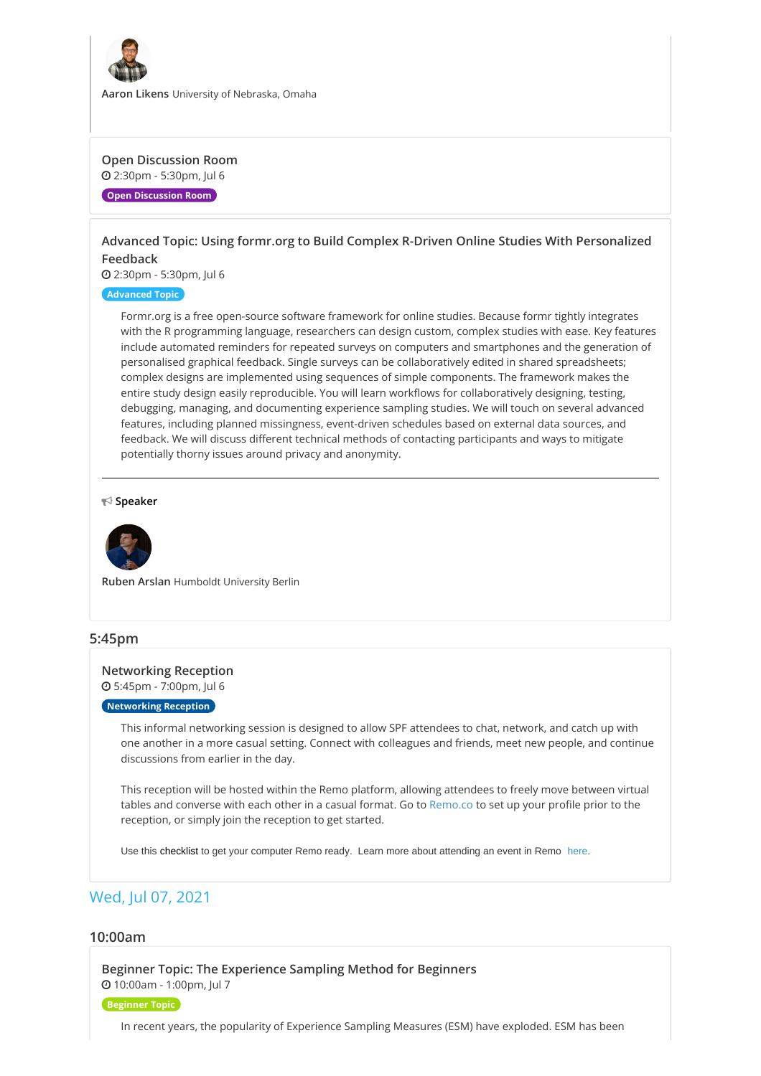

**Aaron Likens** University of Nebraska, Omaha

#### **Open [Discussion](https://whova.com/embedded/session/sspfd_202107/1753725/) Room** 2:30pm - 5:30pm, Jul 6

**Open Discussion Room**

## **Advanced Topic: Using formr.org to Build Complex R-Driven Online Studies With [Personalized](https://whova.com/embedded/session/sspfd_202107/1753728/) Feedback**

2:30pm - 5:30pm, Jul 6

#### **Advanced Topic**

Formr.org is a free open-source software framework for online studies. Because formr tightly integrates with the R programming language, researchers can design custom, complex studies with ease. Key features include automated reminders for repeated surveys on computers and smartphones and the generation of personalised graphical feedback. Single surveys can be collaboratively edited in shared spreadsheets; complex designs are implemented using sequences of simple components. The framework makes the entire study design easily reproducible. You will learn workflows for collaboratively designing, testing, debugging, managing, and documenting experience sampling studies. We will touch on several advanced features, including planned missingness, event-driven schedules based on external data sources, and feedback. We will discuss different technical methods of contacting participants and ways to mitigate potentially thorny issues around privacy and anonymity.

#### **Speaker**



**Ruben Arslan** Humboldt University Berlin

#### **5:45pm**

## **[Networking](https://whova.com/embedded/session/sspfd_202107/1753726/) Reception**

5:45pm - 7:00pm, Jul 6

## **Networking Reception**

This informal networking session is designed to allow SPF attendees to chat, network, and catch up with one another in a more casual setting. Connect with colleagues and friends, meet new people, and continue discussions from earlier in the day.

This reception will be hosted within the Remo platform, allowing attendees to freely move between virtual tables and converse with each other in a casual format. Go to [Remo.co](https://live.remo.co/) to set up your profile prior to the reception, or simply join the reception to get started.

Use this [checklist](https://help.remo.co/en/support/solutions/articles/63000241111-checklist-before-attending-a-remo-event) to get your computer Remo ready. Learn more about attending an event in Remo [here](https://www.youtube.com/watch?v=P01JxUBNU2Y&t=10s).

## Wed, Jul 07, 2021

#### **10:00am**

**Beginner Topic: The [Experience](https://whova.com/embedded/session/sspfd_202107/1753723/) Sampling Method for Beginners** 10:00am - 1:00pm, Jul 7

#### **Beginner Topic**

In recent years, the popularity of Experience Sampling Measures (ESM) have exploded. ESM has been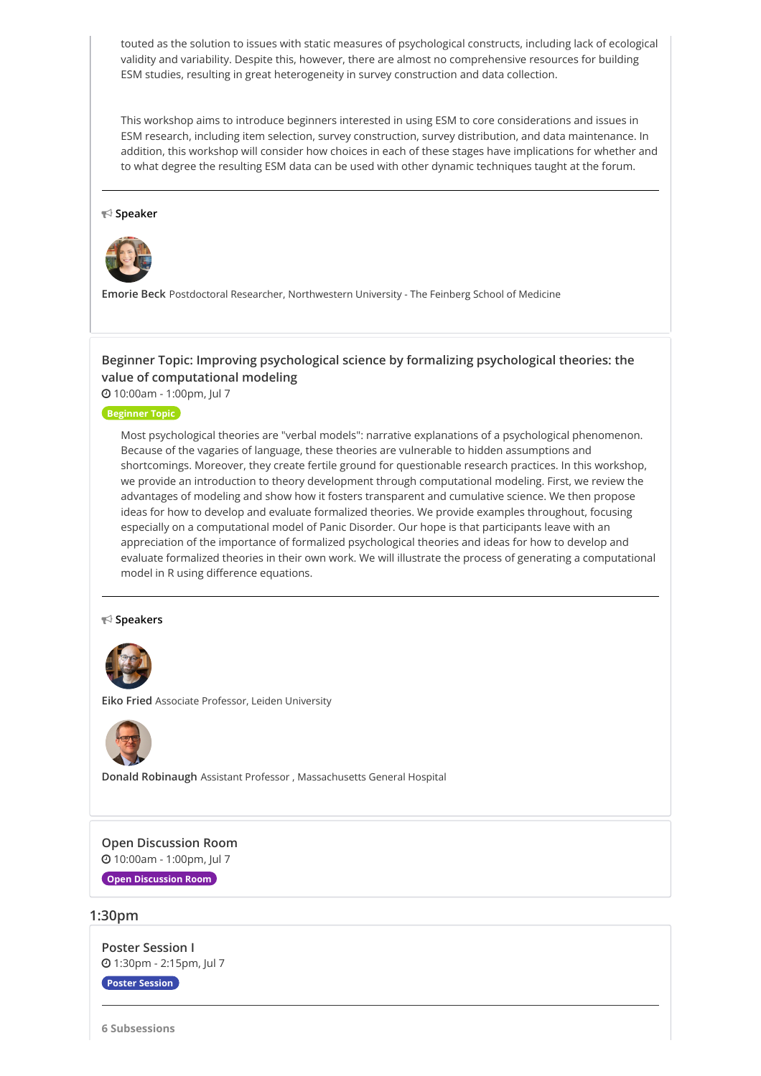touted as the solution to issues with static measures of psychological constructs, including lack of ecological validity and variability. Despite this, however, there are almost no comprehensive resources for building ESM studies, resulting in great heterogeneity in survey construction and data collection.

This workshop aims to introduce beginners interested in using ESM to core considerations and issues in ESM research, including item selection, survey construction, survey distribution, and data maintenance. In addition, this workshop will consider how choices in each of these stages have implications for whether and to what degree the resulting ESM data can be used with other dynamic techniques taught at the forum.

#### **Speaker**



**Emorie Beck** Postdoctoral Researcher, Northwestern University - The Feinberg School of Medicine

## **Beginner Topic: Improving psychological science by formalizing psychological theories: the value of [computational](https://whova.com/embedded/session/sspfd_202107/1753727/) modeling**

10:00am - 1:00pm, Jul 7

#### **Beginner Topic**

Most psychological theories are "verbal models": narrative explanations of a psychological phenomenon. Because of the vagaries of language, these theories are vulnerable to hidden assumptions and shortcomings. Moreover, they create fertile ground for questionable research practices. In this workshop, we provide an introduction to theory development through computational modeling. First, we review the advantages of modeling and show how it fosters transparent and cumulative science. We then propose ideas for how to develop and evaluate formalized theories. We provide examples throughout, focusing especially on a computational model of Panic Disorder. Our hope is that participants leave with an appreciation of the importance of formalized psychological theories and ideas for how to develop and evaluate formalized theories in their own work. We will illustrate the process of generating a computational model in R using difference equations.

#### **Speakers**



**Eiko Fried** Associate Professor, Leiden University



**Donald Robinaugh** Assistant Professor , Massachusetts General Hospital

**Open [Discussion](https://whova.com/embedded/session/sspfd_202107/1753729/) Room** 10:00am - 1:00pm, Jul 7

**Open Discussion Room**

#### **1:30pm**

**Poster [Session](https://whova.com/embedded/session/sspfd_202107/1753730/) I** 1:30pm - 2:15pm, Jul 7

**Poster Session**

**6 Subsessions**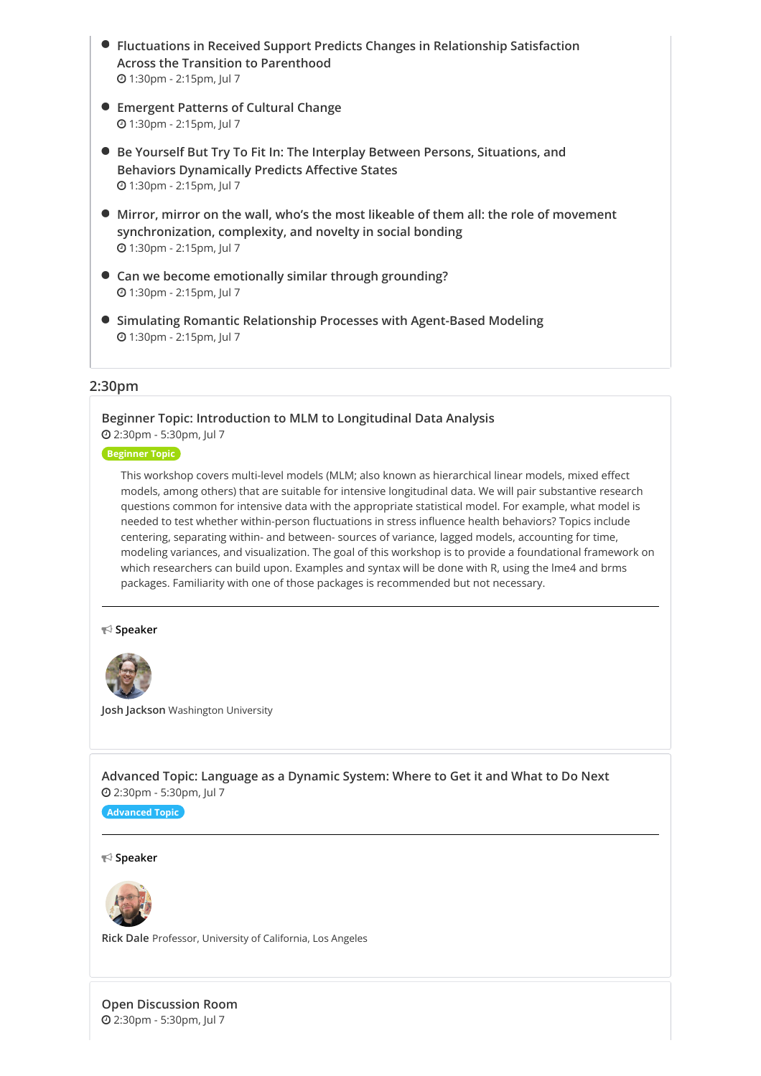- **Fluctuations in Received Support Predicts Changes in [Relationship](https://whova.com/embedded/subsession/sspfd_202107/1753730/1753731/) Satisfaction Across the Transition to Parenthood** 1:30pm - 2:15pm, Jul 7
- **[Emergent](https://whova.com/embedded/subsession/sspfd_202107/1753730/1753732/) Patterns of Cultural Change** 1:30pm - 2:15pm, Jul 7
- **Be Yourself But Try To Fit In: The Interplay Between Persons, Situations, and Behaviors [Dynamically](https://whova.com/embedded/subsession/sspfd_202107/1753730/1753733/) Predicts Affective States** 1:30pm - 2:15pm, Jul 7
- **Mirror, mirror on the wall, who's the most likeable of them all: the role of movement [synchronization,](https://whova.com/embedded/subsession/sspfd_202107/1753730/1753734/) complexity, and novelty in social bonding** 1:30pm - 2:15pm, Jul 7
- **Can we become [emotionally](https://whova.com/embedded/subsession/sspfd_202107/1753730/1753735/) similar through grounding?** 1:30pm - 2:15pm, Jul 7
- **Simulating Romantic Relationship Processes with [Agent-Based](https://whova.com/embedded/subsession/sspfd_202107/1753730/1753736/) Modeling** 1:30pm - 2:15pm, Jul 7

#### **2:30pm**

#### **Beginner Topic: [Introduction](https://whova.com/embedded/session/sspfd_202107/1753737/) to MLM to Longitudinal Data Analysis** 2:30pm - 5:30pm, Jul 7

#### **Beginner Topic**

This workshop covers multi-level models (MLM; also known as hierarchical linear models, mixed effect models, among others) that are suitable for intensive longitudinal data. We will pair substantive research questions common for intensive data with the appropriate statistical model. For example, what model is needed to test whether within-person fluctuations in stress influence health behaviors? Topics include centering, separating within- and between- sources of variance, lagged models, accounting for time, modeling variances, and visualization. The goal of this workshop is to provide a foundational framework on which researchers can build upon. Examples and syntax will be done with R, using the lme4 and brms packages. Familiarity with one of those packages is recommended but not necessary.

#### **Speaker**



**Josh Jackson** Washington University

**[Advanced](https://whova.com/embedded/session/sspfd_202107/1753738/) Topic: Language as a Dynamic System: Where to Get it and What to Do Next** 2:30pm - 5:30pm, Jul 7

#### **Advanced Topic**

#### **Speaker**



**Rick Dale** Professor, University of California, Los Angeles

**Open [Discussion](https://whova.com/embedded/session/sspfd_202107/1753739/) Room** 2:30pm - 5:30pm, Jul 7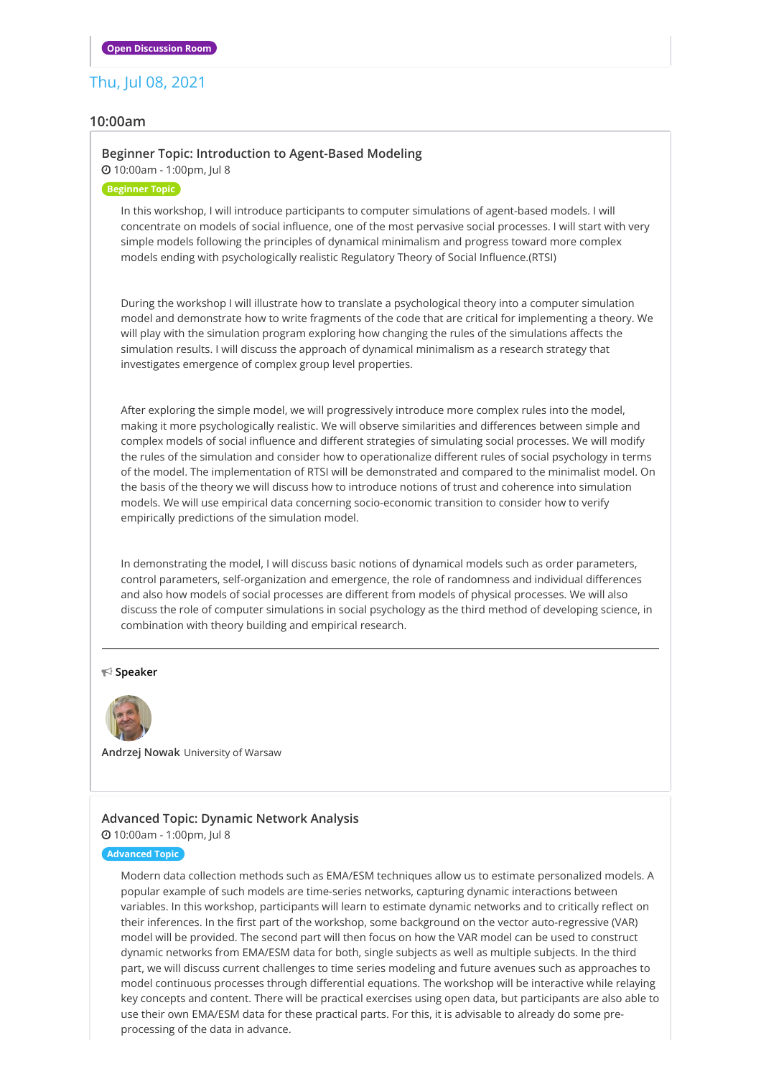## Thu, Jul 08, 2021

#### **10:00am**

#### **Beginner Topic: Introduction to [Agent-Based](https://whova.com/embedded/session/sspfd_202107/1753740/) Modeling**

10:00am - 1:00pm, Jul 8

#### **Beginner Topic**

In this workshop, I will introduce participants to computer simulations of agent-based models. I will concentrate on models of social influence, one of the most pervasive social processes. I will start with very simple models following the principles of dynamical minimalism and progress toward more complex models ending with psychologically realistic Regulatory Theory of Social Influence.(RTSI)

During the workshop I will illustrate how to translate a psychological theory into a computer simulation model and demonstrate how to write fragments of the code that are critical for implementing a theory. We will play with the simulation program exploring how changing the rules of the simulations affects the simulation results. I will discuss the approach of dynamical minimalism as a research strategy that investigates emergence of complex group level properties.

After exploring the simple model, we will progressively introduce more complex rules into the model, making it more psychologically realistic. We will observe similarities and differences between simple and complex models of social influence and different strategies of simulating social processes. We will modify the rules of the simulation and consider how to operationalize different rules of social psychology in terms of the model. The implementation of RTSI will be demonstrated and compared to the minimalist model. On the basis of the theory we will discuss how to introduce notions of trust and coherence into simulation models. We will use empirical data concerning socio-economic transition to consider how to verify empirically predictions of the simulation model.

In demonstrating the model, I will discuss basic notions of dynamical models such as order parameters, control parameters, self-organization and emergence, the role of randomness and individual differences and also how models of social processes are different from models of physical processes. We will also discuss the role of computer simulations in social psychology as the third method of developing science, in combination with theory building and empirical research.

#### **Speaker**



**Andrzej Nowak** University of Warsaw

#### **[Advanced](https://whova.com/embedded/session/sspfd_202107/1753741/) Topic: Dynamic Network Analysis** 10:00am - 1:00pm, Jul 8

#### **Advanced Topic**

Modern data collection methods such as EMA/ESM techniques allow us to estimate personalized models. A popular example of such models are time-series networks, capturing dynamic interactions between variables. In this workshop, participants will learn to estimate dynamic networks and to critically reflect on their inferences. In the first part of the workshop, some background on the vector auto-regressive (VAR) model will be provided. The second part will then focus on how the VAR model can be used to construct dynamic networks from EMA/ESM data for both, single subjects as well as multiple subjects. In the third part, we will discuss current challenges to time series modeling and future avenues such as approaches to model continuous processes through differential equations. The workshop will be interactive while relaying key concepts and content. There will be practical exercises using open data, but participants are also able to use their own EMA/ESM data for these practical parts. For this, it is advisable to already do some preprocessing of the data in advance.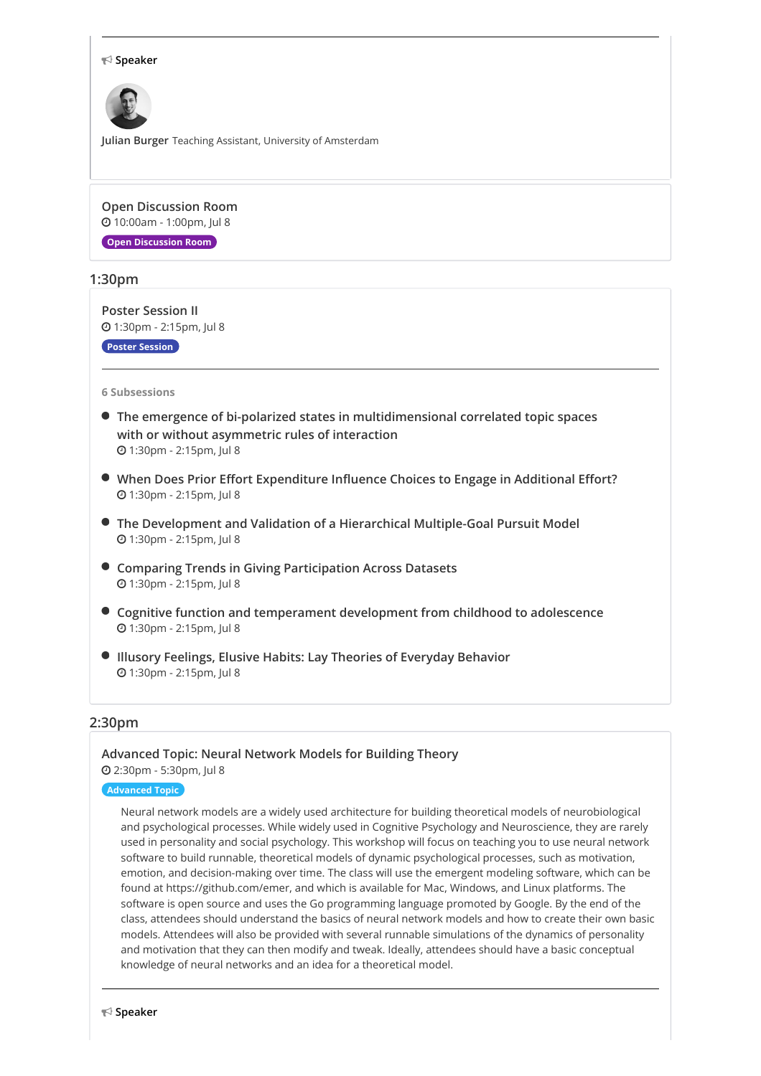#### **Speaker**



**Julian Burger** Teaching Assistant, University of Amsterdam

**Open [Discussion](https://whova.com/embedded/session/sspfd_202107/1753742/) Room** 10:00am - 1:00pm, Jul 8

**Open Discussion Room**

#### **1:30pm**

**Poster [Session](https://whova.com/embedded/session/sspfd_202107/1753743/) II** 1:30pm - 2:15pm, Jul 8

**Poster Session**

#### **6 Subsessions**

- **The emergence of bi-polarized states in [multidimensional](https://whova.com/embedded/subsession/sspfd_202107/1753743/1753744/) correlated topic spaces with or without asymmetric rules of interaction** 1:30pm - 2:15pm, Jul 8
- **When Does Prior Effort [Expenditure](https://whova.com/embedded/subsession/sspfd_202107/1753743/1753745/) Influence Choices to Engage in Additional Effort?** 1:30pm - 2:15pm, Jul 8
- **The Development and Validation of a Hierarchical [Multiple-Goal](https://whova.com/embedded/subsession/sspfd_202107/1753743/1753746/) Pursuit Model** 1:30pm - 2:15pm, Jul 8
- **Comparing Trends in Giving [Participation](https://whova.com/embedded/subsession/sspfd_202107/1753743/1753747/) Across Datasets** 1:30pm - 2:15pm, Jul 8
- **Cognitive function and [temperament](https://whova.com/embedded/subsession/sspfd_202107/1753743/1753748/) development from childhood to adolescence** 1:30pm - 2:15pm, Jul 8
- **Illusory Feelings, Elusive Habits: Lay Theories of [Everyday](https://whova.com/embedded/subsession/sspfd_202107/1753743/1753749/) Behavior** 1:30pm - 2:15pm, Jul 8

#### **2:30pm**

#### **[Advanced](https://whova.com/embedded/session/sspfd_202107/1753724/) Topic: Neural Network Models for Building Theory** 2:30pm - 5:30pm, Jul 8

#### **Advanced Topic**

Neural network models are a widely used architecture for building theoretical models of neurobiological and psychological processes. While widely used in Cognitive Psychology and Neuroscience, they are rarely used in personality and social psychology. This workshop will focus on teaching you to use neural network software to build runnable, theoretical models of dynamic psychological processes, such as motivation, emotion, and decision-making over time. The class will use the emergent modeling software, which can be found at https://github.com/emer, and which is available for Mac, Windows, and Linux platforms. The software is open source and uses the Go programming language promoted by Google. By the end of the class, attendees should understand the basics of neural network models and how to create their own basic models. Attendees will also be provided with several runnable simulations of the dynamics of personality and motivation that they can then modify and tweak. Ideally, attendees should have a basic conceptual knowledge of neural networks and an idea for a theoretical model.